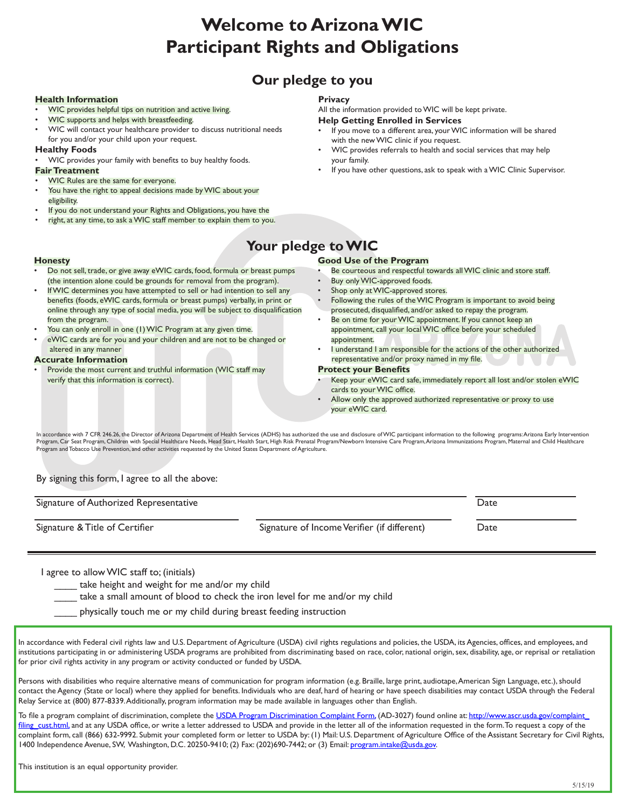# **Welcome to Arizona WIC Participant Rights and Obligations**

### **Our pledge to you**

#### **Health Information**

- WIC provides helpful tips on nutrition and active living.
- WIC supports and helps with breastfeeding.
- WIC will contact your healthcare provider to discuss nutritional needs for you and/or your child upon your request.

#### **Healthy Foods**

• WIC provides your family with benefits to buy healthy foods.

#### **Fair Treatment**

**Honesty**

from the program.

 altered in any manner **Accurate Information**

verify that this information is correct).

- WIC Rules are the same for everyone.
- You have the right to appeal decisions made by WIC about your eligibility.
- If you do not understand your Rights and Obligations, you have the

You can only enroll in one (1) WIC Program at any given time. • eWIC cards are for you and your children and are not to be changed or

Provide the most current and truthful information (WIC staff may

• right, at any time, to ask a WIC staff member to explain them to you.

• Do not sell, trade, or give away eWIC cards, food, formula or breast pumps (the intention alone could be grounds for removal from the program). If WIC determines you have attempted to sell or had intention to sell any benefits (foods, eWIC cards, formula or breast pumps) verbally, in print or online through any type of social media, you will be subject to disqualification

#### **Privacy**

All the information provided to WIC will be kept private. **Help Getting Enrolled in Services**

- If you move to a different area, your WIC information will be shared
- with the new WIC clinic if you request. • WIC provides referrals to health and social services that may help your family.
- If you have other questions, ask to speak with a WIC Clinic Supervisor.

## **Your pledge to WIC**

#### **Good Use of the Program**

- Be courteous and respectful towards all WIC clinic and store staff.
- Buy only WIC-approved foods.
- Shop only at WIC-approved stores.
- Following the rules of the WIC Program is important to avoid being prosecuted, disqualified, and/or asked to repay the program.
- Be on time for your WIC appointment. If you cannot keep an appointment, call your local WIC office before your scheduled appointment.
- I understand I am responsible for the actions of the other authorized representative and/or proxy named in my file.

#### **Protect your Benefits**

- Keep your eWIC card safe, immediately report all lost and/or stolen eWIC cards to your WIC office.
- Allow only the approved authorized representative or proxy to use your eWIC card.

In accordance with 7 CFR 246.26, the Director of Arizona Department of Health Services (ADHS) has authorized the use and disclosure of WIC participant information to the following programs: Arizona Early Intervention Program, Car Seat Program, Children with Special Healthcare Needs, Head Start, Health Start, High Risk Prenatal Program/Newborn Intensive Care Program, Arizona Immunizations Program, Maternal and Child Healthcare Program and Tobacco Use Prevention, and other activities requested by the United States Department of Agriculture.

By signing this form, I agree to all the above:

Signature of Authorized Representative **Date of Authorized Representative** Date **Date** Signature & Title of Certifier Signature of Income Verifier (if different) Date

I agree to allow WIC staff to; (initials)

take height and weight for me and/or my child

take a small amount of blood to check the iron level for me and/or my child

physically touch me or my child during breast feeding instruction

In accordance with Federal civil rights law and U.S. Department of Agriculture (USDA) civil rights regulations and policies, the USDA, its Agencies, offices, and employees, and institutions participating in or administering USDA programs are prohibited from discriminating based on race, color, national origin, sex, disability, age, or reprisal or retaliation for prior civil rights activity in any program or activity conducted or funded by USDA.

Persons with disabilities who require alternative means of communication for program information (e.g. Braille, large print, audiotape, American Sign Language, etc.), should contact the Agency (State or local) where they applied for benefits. Individuals who are deaf, hard of hearing or have speech disabilities may contact USDA through the Federal Relay Service at (800) 877-8339. Additionally, program information may be made available in languages other than English.

To file a program complaint of discrimination, complete the [USDA Program Discrimination Complaint Form,](https://www.usda.gov/sites/default/files/documents/USDA-OASCR%20P-Complaint-Form-0508-0002-508-11-28-17Fax2Mail.pdf) (AD-3027) found online at: [http://www.ascr.usda.gov/complaint\\_](https://www.usda.gov/oascr/how-to-file-a-program-discrimination-complaint) [filing\\_cust.html,](https://www.usda.gov/oascr/how-to-file-a-program-discrimination-complaint) and at any USDA office, or write a letter addressed to USDA and provide in the letter all of the information requested in the form. To request a copy of the complaint form, call (866) 632-9992. Submit your completed form or letter to USDA by: (1) Mail: U.S. Department of Agriculture Office of the Assistant Secretary for Civil Rights, 1400 Independence Avenue, SW, Washington, D.C. 20250-9410; (2) Fax: (202)690-7442; or (3) Email: [program.intake@usda.gov](mailto:program.intake%40usda.gov?subject=).

This institution is an equal opportunity provider.